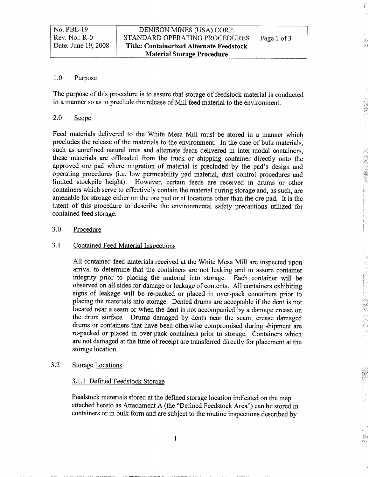Carlistic Corp.

R

#### 1.0 Purpose

The purpose of this procedure is to assure that storage of feedstock material is conducted in a manner so as to preclude the release of Mill feed material to the environment.

#### 2.0 Scope

Feed materials delivered to the White Mesa Mill must be stored in a manner which precludes the release of the materials to the environment. In the case of bulk materials, such as unrefined natural ores and alternate feeds delivered in inter-modal containers these materials are offloaded from the truck or shipping container directly onto the approved ore pad where migration of material is precluded by the pad's design and operating procedures (i.e. low permeability pad material, dust control procedures and limited stockpile height). However, certain feeds are received in drums or other containers which serve to effectively contain the material during storage and, as such, are amenable for storage either on the ore pad or at locations other than the ore pad. It is the intent of this procedure to describe the environmental safety precautions utilized for contained feed storage

#### 3.0 Procedure

#### 3.1 Contained Feed Material Inspections

All contained feed materials received at the White Mesa Mill are inspected upon arrival to determine that the containers are not leaking and to assure container integrity prior to placing the material into storage. Each container will be observed on all sides for damage or leakage of contents All containers exhibiting signs of leakage will be re-packed or placed in over-pack containers prior to placing the materials into storage. Dented drums are acceptable if the dent is not located near a seam or when the dent is not accompanied by a damage crease on the drum surface. Drums damaged by dents near the seam, crease damaged drums or containers that have been otherwise compromised during shipment are re-packed or placed in over-pack containers prior to storage. Containers which are not damaged at the time of receipt are transferred directly for placement at the storage location

#### 3.2 Storage Locations

#### 3.1.1 Defined Feedstock Storage

Feedstock materials stored at the defined storage location indicated on the map attached hereto as Attachment A (the "Defined Feedstock Area") can be stored in containers or in bulk form and are subject to the routine inspections described by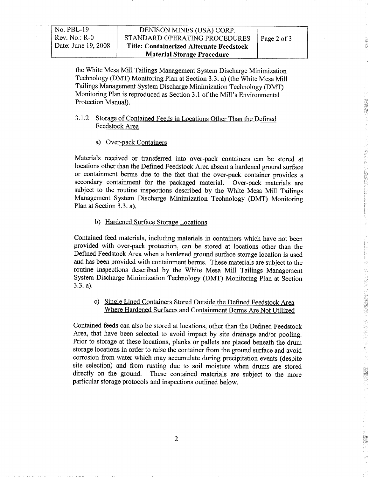1972 (58,58)

**「地震の地震の情報」** 

**BASE** 

the White Mesa Mill Tailings Management System Discharge Minimization Technology (DMT) Monitoring Plan at Section 3.3. a) (the White Mesa Mill Tailings Management System Discharge Minimization Technology DMT Monitoring Plan is reproduced as Section 3.1 of the Mill's Environmental Protection Manual).

#### 3.1.2 Storage of Contained Feeds in Locations Other Than the Defined Feedstock Area

a) Over-pack Containers

Materials received or transferred into over-pack containers can be stored at locations other than the Defined Feedstock Area absent a hardened ground surface or containment berms due to the fact that the over-pack container provides secondary containment for the packaged material. Over-pack materials are subject to the routine inspections described by the White Mesa Mill Tailings Management System Discharge Minimization Technology (DMT) Monitoring Plan at Section 3.3. a).

#### b) Hardened Surface Storage Locations

Contained feed materials, including materials in containers which have not been provided with over-pack protection, can be stored at locations other than the Defined Feedstock Area when a hardened ground surface storage location is used and has been provided with containment berms. These materials are subject to the routine inspections described by the White Mesa Mill Tailings Management System Discharge Minimization Technology (DMT) Monitoring Plan at Section  $3.3. a)$ .

#### c) Single Lined Containers Stored Outside the Defined Feedstock Area Where Hardened Surfaces and Containment Berms Are Not Utilized

Contained feeds can also be stored at locations, other than the Defined Feedstock Area, that have been selected to avoid impact by site drainage and/or pooling. Prior to storage at these locations, planks or pallets are placed beneath the drum storage locations in order to raise the container from the ground surface and avoid corrosion from water which may accumulate during precipitation events (despite site selection) and from rusting due to soil moisture when drums are stored directly on the ground. These contained materials are subject to the more particular storage protocols and inspections outlined below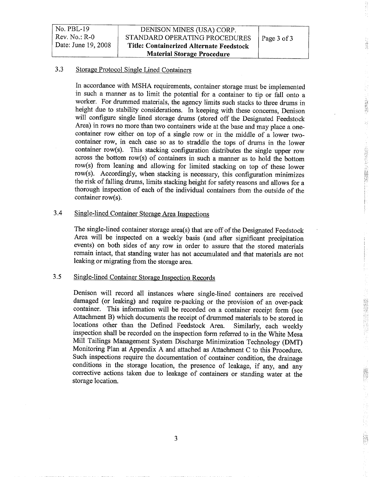| $No. PBL-19$        | DENISON MINES (USA) CORP.                |             |
|---------------------|------------------------------------------|-------------|
| $Rev. No.: R-0$     | STANDARD OPERATING PROCEDURES            | Page 3 of 3 |
| Date: June 19, 2008 | Title: Containerized Alternate Feedstock |             |
|                     | <b>Material Storage Procedure</b>        |             |

#### 3.3 Storage Protocol Single Lined Containers

In accordance with MSHA requirements, container storage must be implemented in such a manner as to limit the potential for a container to tip or fall onto a worker. For drummed materials, the agency limits such stacks to three drums in height due to stability considerations. In keeping with these concerns, Denison will configure single lined storage drums (stored off the Designated Feedstock Area) in rows no more than two containers wide at the base and may place a onecontainer row either on top of a single row or in the middle of a lower twocontainer row, in each case so as to straddle the tops of drums in the lower container row(s). This stacking configuration distributes the single upper row across the bottom row(s) of containers in such a manner as to hold the bottom row(s) from leaning and allowing for limited stacking on top of these lower  $row(s)$ . Accordingly, when stacking is necessary, this configuration minimizes the risk of falling drums, limits stacking height for safety reasons and allows for a thorough inspection of each of the individual containers from the outside of the  $container row(s)$ .

 $21732$ 

A 特定をおいての検査を

#### 3.4 Single-lined Container Storage Area Inspections

The single-lined container storage area(s) that are off of the Designated Feedstock Area will be inspected on a weekly basis (and after significant precipitation events) on both sides of any row in order to assure that the stored materials remain intact, that standing water has not accumulated and that materials are not leaking or migrating from the storage area

#### 3.5 Single-lined Container Storage Inspection Records

Denison will record all instances where single-lined containers are received damaged (or leaking) and require re-packing or the provision of an over-pack container. This information will be recorded on a container receipt form (see Attachment B) which documents the receipt of drummed materials to be stored in locations other than the Defined Feedstock Area. Similarly, each weekly inspection shall be recorded on the inspection form referred to in the White Mesa Mill Tailings Management System Discharge Minimization Technology (DMT) Monitoring Plan at Appendix A and attached as Attachment C to this Procedure. Such inspections require the documentation of container condition, the drainage conditions in the storage location, the presence of leakage, if any, and any corrective actions taken due to leakage of containers or standing water at the storage location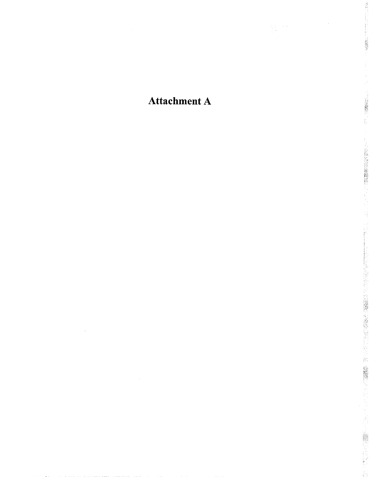## **Attachment A**

 $\label{eq:2.1} \frac{d\mathbf{y}}{d\mathbf{x}}\frac{d\mathbf{y}}{d\mathbf{x}}=\frac{d\mathbf{y}}{d\mathbf{x}}\frac{d\mathbf{x}}{d\mathbf{x}}$ 

大学 第二

(2000)

**(1) 2) 2) 3) 3) 3) 3) 3) 3) 3) 3) 3) 3) 3)**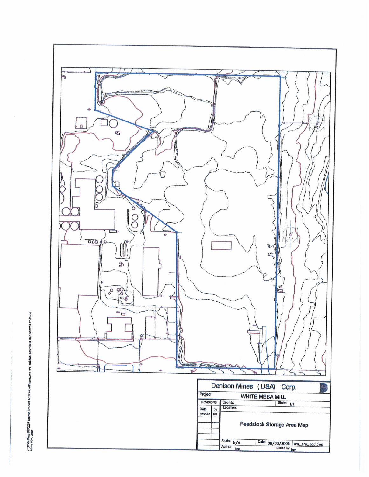

Z:\White Mesa Mill\2007 Lucrose Ronewal Application\FigureS\wm\_ore\_pad.okg, Appendix B, 02/26/2007 9:27:40 AM,<br>Adobe PDF, Letter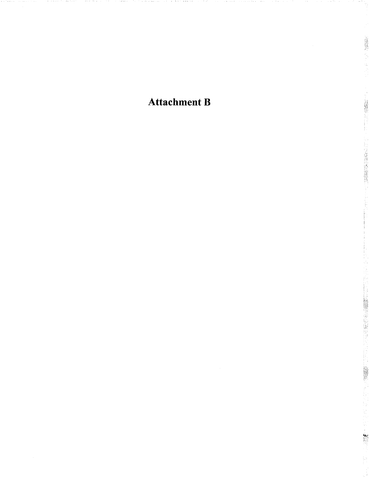**Attachment B** 

2000年3月

**ARRIVERS ENDING:**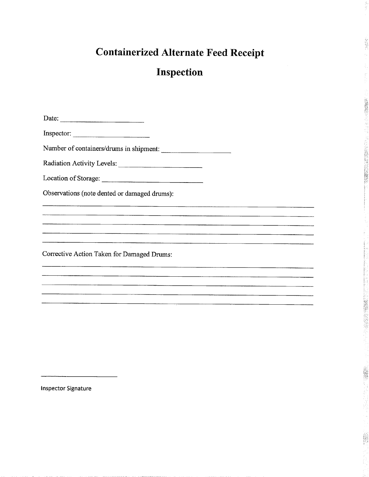# Containerized Alternate Feed Receipt

ĝ

13特异?  $\frac{1}{2}$  .

(新闻风格)

## Inspection

| Date:                                        |
|----------------------------------------------|
| Inspector:                                   |
| Number of containers/drums in shipment:      |
| Radiation Activity Levels:                   |
| Location of Storage:                         |
| Observations (note dented or damaged drums): |
|                                              |
|                                              |
|                                              |
| Corrective Action Taken for Damaged Drums:   |
|                                              |
|                                              |
|                                              |

Inspector Signature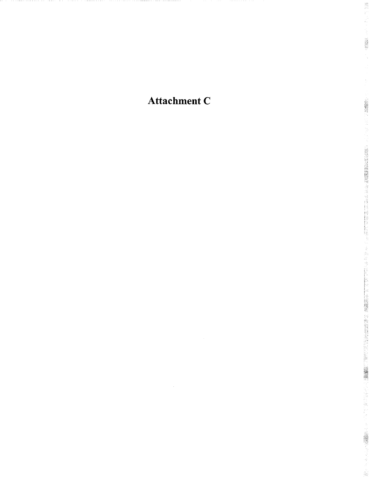Attachment C

器部门 ý,

在海岸头

· \$\$\$\$\$\$\$\$

· 在市区的高级公众方式的

「2012年の大学の「1997年の大学の「1998年の「1998年の「1998年の「1998年の「1998年の「1998年の「1998年の「1998年の「1998年の「1998年の「1998年の「19

j.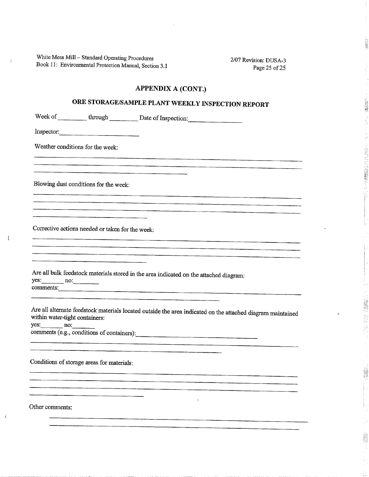White Mesa Mill – Standard Operating Procedures 2/07 Revision: DUSA-3 Book 11: Environmental Protection Manual, Section 3.1 Page 25 of 25

 $\bar{t}$ 

 $\left($ 

 $\vec{t}$ 

2. 2. 2. 2.

· 经公司公司的 (2)

è

### APPENDIX A (CONT.)

### ORE STORAGE/SAMPLE PLANT WEEKLY INSPECTION REPORT

| Week of __________ through ___________ Date of Inspection:                                                                                                  |
|-------------------------------------------------------------------------------------------------------------------------------------------------------------|
| Inspector:                                                                                                                                                  |
| Weather conditions for the week:                                                                                                                            |
|                                                                                                                                                             |
| Blowing dust conditions for the week:                                                                                                                       |
|                                                                                                                                                             |
| Corrective actions needed or taken for the week:                                                                                                            |
|                                                                                                                                                             |
| Are all bulk feedstock materials stored in the area indicated on the attached diagram:<br>$yes:$ no:<br>comments:                                           |
| Are all alternate feedstock materials located outside the area indicated on the attached diagram maintained<br>within water-tight containers:<br>$yes:$ no: |
| comments (e.g., conditions of containers):                                                                                                                  |
| Conditions of storage areas for materials:                                                                                                                  |
| Other comments:                                                                                                                                             |